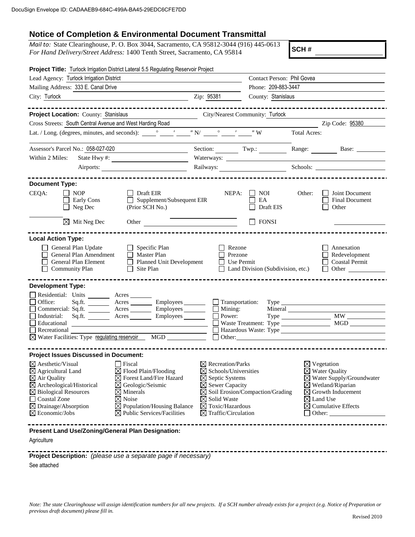## **Notice of Completion & Environmental Document Transmittal**

*Mail to:* State Clearinghouse, P. O. Box 3044, Sacramento, CA 95812-3044 (916) 445-0613 *For Hand Delivery/Street Address:* 1400 Tenth Street, Sacramento, CA 95814

**SCH #**

| Project Title: Turlock Irrigation District Lateral 5.5 Regulating Reservoir Project                                                                                                                                                                                                                                                                                                                                                                                                                                                           |                                                                                                                                                                                                                                                   |                                                                                                                                                                                                                                                                          |                                          |                                                                                                                                                                                                                                  |                                                                                                                           |
|-----------------------------------------------------------------------------------------------------------------------------------------------------------------------------------------------------------------------------------------------------------------------------------------------------------------------------------------------------------------------------------------------------------------------------------------------------------------------------------------------------------------------------------------------|---------------------------------------------------------------------------------------------------------------------------------------------------------------------------------------------------------------------------------------------------|--------------------------------------------------------------------------------------------------------------------------------------------------------------------------------------------------------------------------------------------------------------------------|------------------------------------------|----------------------------------------------------------------------------------------------------------------------------------------------------------------------------------------------------------------------------------|---------------------------------------------------------------------------------------------------------------------------|
| Lead Agency: Turlock Irrigation District                                                                                                                                                                                                                                                                                                                                                                                                                                                                                                      |                                                                                                                                                                                                                                                   |                                                                                                                                                                                                                                                                          | Contact Person: Phil Govea               |                                                                                                                                                                                                                                  |                                                                                                                           |
| Mailing Address: 333 E. Canal Drive                                                                                                                                                                                                                                                                                                                                                                                                                                                                                                           |                                                                                                                                                                                                                                                   | Phone: 209-883-3447                                                                                                                                                                                                                                                      |                                          |                                                                                                                                                                                                                                  |                                                                                                                           |
| City: Turlock                                                                                                                                                                                                                                                                                                                                                                                                                                                                                                                                 | Zip: 95381<br>County: Stanislaus                                                                                                                                                                                                                  |                                                                                                                                                                                                                                                                          |                                          |                                                                                                                                                                                                                                  |                                                                                                                           |
|                                                                                                                                                                                                                                                                                                                                                                                                                                                                                                                                               | -------------                                                                                                                                                                                                                                     |                                                                                                                                                                                                                                                                          |                                          |                                                                                                                                                                                                                                  | -----------------------                                                                                                   |
| Project Location: County: Stanislaus                                                                                                                                                                                                                                                                                                                                                                                                                                                                                                          |                                                                                                                                                                                                                                                   |                                                                                                                                                                                                                                                                          | City/Nearest Community: Turlock          |                                                                                                                                                                                                                                  |                                                                                                                           |
| Cross Streets: South Central Avenue and West Harding Road                                                                                                                                                                                                                                                                                                                                                                                                                                                                                     |                                                                                                                                                                                                                                                   |                                                                                                                                                                                                                                                                          |                                          |                                                                                                                                                                                                                                  | Zip Code: 95380                                                                                                           |
|                                                                                                                                                                                                                                                                                                                                                                                                                                                                                                                                               |                                                                                                                                                                                                                                                   |                                                                                                                                                                                                                                                                          |                                          | <b>Total Acres:</b>                                                                                                                                                                                                              |                                                                                                                           |
| Assessor's Parcel No.: 058-027-020                                                                                                                                                                                                                                                                                                                                                                                                                                                                                                            |                                                                                                                                                                                                                                                   | Section: Twp.:                                                                                                                                                                                                                                                           |                                          |                                                                                                                                                                                                                                  |                                                                                                                           |
| Within 2 Miles:<br>State Hwy #:                                                                                                                                                                                                                                                                                                                                                                                                                                                                                                               |                                                                                                                                                                                                                                                   |                                                                                                                                                                                                                                                                          |                                          |                                                                                                                                                                                                                                  |                                                                                                                           |
| Airports:                                                                                                                                                                                                                                                                                                                                                                                                                                                                                                                                     |                                                                                                                                                                                                                                                   | Railways:                                                                                                                                                                                                                                                                |                                          | Schools:                                                                                                                                                                                                                         |                                                                                                                           |
|                                                                                                                                                                                                                                                                                                                                                                                                                                                                                                                                               |                                                                                                                                                                                                                                                   |                                                                                                                                                                                                                                                                          |                                          |                                                                                                                                                                                                                                  |                                                                                                                           |
| <b>Document Type:</b><br>CEQA:<br>l I NOP<br>Early Cons<br>$\Box$ Neg Dec                                                                                                                                                                                                                                                                                                                                                                                                                                                                     | Draft EIR<br>Supplement/Subsequent EIR<br>$\perp$<br>(Prior SCH No.)                                                                                                                                                                              | NEPA:                                                                                                                                                                                                                                                                    | $\vert$   NOI<br>EA<br>Draft EIS         | Other:                                                                                                                                                                                                                           | Joint Document<br><b>Final Document</b><br>Other                                                                          |
| $\boxtimes$ Mit Neg Dec                                                                                                                                                                                                                                                                                                                                                                                                                                                                                                                       | Other <u>and the contract of the contract of the contract of the contract of the contract of the contract of the contract of the contract of the contract of the contract of the contract of the contract of the contract of the</u>              |                                                                                                                                                                                                                                                                          | $\Box$ FONSI                             |                                                                                                                                                                                                                                  |                                                                                                                           |
| General Plan Update<br>General Plan Amendment<br>General Plan Element<br><b>Community Plan</b><br><b>Development Type:</b><br>Residential: Units _______ Acres ______<br>Office:<br>Industrial:                                                                                                                                                                                                                                                                                                                                               | $\Box$ Specific Plan<br>$\Box$ Master Plan<br>Planned Unit Development<br>$\Box$ Site Plan<br>Sq.ft. ___________ Acres ___________ Employees ________<br>Commercial: Sq.ft. _________ Acres _________ Employees _______<br>Sq.ft. Acres Employees | Rezone<br>Prezone<br>$\Box$ Use Permit<br>$\Box$ Transportation:<br>■ Mining:<br>■ Power:                                                                                                                                                                                | $\Box$ Land Division (Subdivision, etc.) |                                                                                                                                                                                                                                  | $\Box$ Annexation<br>$\Box$ Redevelopment<br>$\Box$ Coastal Permit<br>$\Box$ Other $\Box$<br>$Type \_$<br>$\overline{MW}$ |
| Educational                                                                                                                                                                                                                                                                                                                                                                                                                                                                                                                                   |                                                                                                                                                                                                                                                   |                                                                                                                                                                                                                                                                          |                                          |                                                                                                                                                                                                                                  |                                                                                                                           |
| Recreational<br>⊠ Water Facilities: Type regulating reservoir MGD MGD                                                                                                                                                                                                                                                                                                                                                                                                                                                                         |                                                                                                                                                                                                                                                   | $\Box$ Other:                                                                                                                                                                                                                                                            |                                          |                                                                                                                                                                                                                                  |                                                                                                                           |
|                                                                                                                                                                                                                                                                                                                                                                                                                                                                                                                                               |                                                                                                                                                                                                                                                   |                                                                                                                                                                                                                                                                          |                                          |                                                                                                                                                                                                                                  |                                                                                                                           |
| <b>Project Issues Discussed in Document:</b><br>$\boxtimes$ Aesthetic/Visual<br>$\Box$ Fiscal<br>⊠ Flood Plain/Flooding<br>⊠ Agricultural Land<br>$\boxtimes$ Forest Land/Fire Hazard<br>$\boxtimes$ Air Quality<br>$\boxtimes$ Archeological/Historical<br>$\boxtimes$ Geologic/Seismic<br>$\boxtimes$ Biological Resources<br>$\boxtimes$ Minerals<br>Coastal Zone<br>$\boxtimes$ Noise<br>$\boxtimes$ Drainage/Absorption<br>$\boxtimes$ Population/Housing Balance<br>$\boxtimes$ Economic/Jobs<br>$\boxtimes$ Public Services/Facilities |                                                                                                                                                                                                                                                   | $\boxtimes$ Recreation/Parks<br>$\boxtimes$ Schools/Universities<br>$\boxtimes$ Septic Systems<br>$\boxtimes$ Sewer Capacity<br>$\boxtimes$ Soil Erosion/Compaction/Grading<br>$\boxtimes$ Solid Waste<br>$\boxtimes$ Toxic/Hazardous<br>$\boxtimes$ Traffic/Circulation |                                          | $\boxtimes$ Vegetation<br>$\boxtimes$ Water Quality<br>$\boxtimes$ Water Supply/Groundwater<br>$\boxtimes$ Wetland/Riparian<br>$\boxtimes$ Growth Inducement<br>$\boxtimes$ Land Use<br>$\boxtimes$ Cumulative Effects<br>Other: |                                                                                                                           |
| Present Land Use/Zoning/General Plan Designation:                                                                                                                                                                                                                                                                                                                                                                                                                                                                                             |                                                                                                                                                                                                                                                   |                                                                                                                                                                                                                                                                          |                                          |                                                                                                                                                                                                                                  |                                                                                                                           |
| Agriculture                                                                                                                                                                                                                                                                                                                                                                                                                                                                                                                                   |                                                                                                                                                                                                                                                   |                                                                                                                                                                                                                                                                          |                                          |                                                                                                                                                                                                                                  |                                                                                                                           |
| Project Description: (please use a separate page if necessary)                                                                                                                                                                                                                                                                                                                                                                                                                                                                                |                                                                                                                                                                                                                                                   |                                                                                                                                                                                                                                                                          |                                          |                                                                                                                                                                                                                                  |                                                                                                                           |

See attached

*Note: The state Clearinghouse will assign identification numbers for all new projects. If a SCH number already exists for a project (e.g. Notice of Preparation or previous draft document) please fill in.*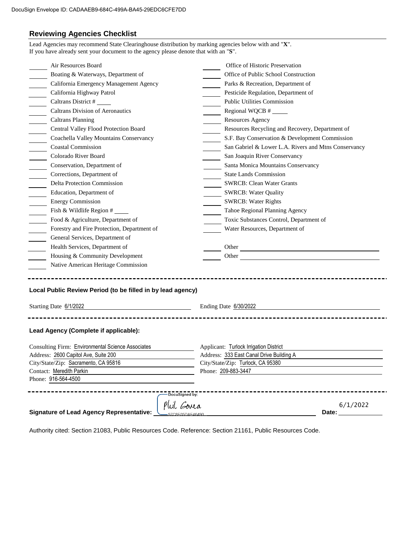## **Reviewing Agencies Checklist**

| Air Resources Board                                                                                                                                                                                                                                                                                                                                                                                                                          | Office of Historic Preservation                                                                                                                                                                                                                                                     |  |  |
|----------------------------------------------------------------------------------------------------------------------------------------------------------------------------------------------------------------------------------------------------------------------------------------------------------------------------------------------------------------------------------------------------------------------------------------------|-------------------------------------------------------------------------------------------------------------------------------------------------------------------------------------------------------------------------------------------------------------------------------------|--|--|
| Boating & Waterways, Department of                                                                                                                                                                                                                                                                                                                                                                                                           | Office of Public School Construction                                                                                                                                                                                                                                                |  |  |
| California Emergency Management Agency                                                                                                                                                                                                                                                                                                                                                                                                       | Parks & Recreation, Department of                                                                                                                                                                                                                                                   |  |  |
| California Highway Patrol                                                                                                                                                                                                                                                                                                                                                                                                                    | Pesticide Regulation, Department of<br><b>Public Utilities Commission</b><br>Regional WQCB $#$<br><b>Resources Agency</b><br>Resources Recycling and Recovery, Department of                                                                                                        |  |  |
| $\frac{1}{\frac{1}{1-\frac{1}{1-\frac{1}{1-\frac{1}{1-\frac{1}{1-\frac{1}{1-\frac{1}{1-\frac{1}{1-\frac{1}{1-\frac{1}{1-\frac{1}{1-\frac{1}{1-\frac{1}{1-\frac{1}{1-\frac{1}{1-\frac{1}{1-\frac{1}{1-\frac{1}{1-\frac{1}{1-\frac{1}{1-\frac{1}{1-\frac{1}{1-\frac{1}{1-\frac{1}{1-\frac{1}{1-\frac{1}{1-\frac{1}{1-\frac{1}{1-\frac{1}{1-\frac{1}{1-\frac{1}{1-\frac{1}{1-\frac{1}{1-\frac{1}{1-\frac{1}{1-\frac{1}{$<br>Caltrans District # |                                                                                                                                                                                                                                                                                     |  |  |
| <b>Caltrans Division of Aeronautics</b>                                                                                                                                                                                                                                                                                                                                                                                                      |                                                                                                                                                                                                                                                                                     |  |  |
| <b>Caltrans Planning</b>                                                                                                                                                                                                                                                                                                                                                                                                                     |                                                                                                                                                                                                                                                                                     |  |  |
| Central Valley Flood Protection Board                                                                                                                                                                                                                                                                                                                                                                                                        |                                                                                                                                                                                                                                                                                     |  |  |
| Coachella Valley Mountains Conservancy                                                                                                                                                                                                                                                                                                                                                                                                       | S.F. Bay Conservation & Development Commission                                                                                                                                                                                                                                      |  |  |
| <b>Coastal Commission</b>                                                                                                                                                                                                                                                                                                                                                                                                                    | San Gabriel & Lower L.A. Rivers and Mtns Conservancy                                                                                                                                                                                                                                |  |  |
| Colorado River Board                                                                                                                                                                                                                                                                                                                                                                                                                         | San Joaquin River Conservancy                                                                                                                                                                                                                                                       |  |  |
| Conservation, Department of                                                                                                                                                                                                                                                                                                                                                                                                                  | Santa Monica Mountains Conservancy<br><b>State Lands Commission</b><br><b>SWRCB: Clean Water Grants</b><br><b>SWRCB: Water Quality</b><br><b>SWRCB: Water Rights</b><br>Tahoe Regional Planning Agency<br>Toxic Substances Control, Department of<br>Water Resources, Department of |  |  |
| Corrections, Department of                                                                                                                                                                                                                                                                                                                                                                                                                   |                                                                                                                                                                                                                                                                                     |  |  |
| Delta Protection Commission                                                                                                                                                                                                                                                                                                                                                                                                                  |                                                                                                                                                                                                                                                                                     |  |  |
| Education, Department of                                                                                                                                                                                                                                                                                                                                                                                                                     |                                                                                                                                                                                                                                                                                     |  |  |
| <b>Energy Commission</b>                                                                                                                                                                                                                                                                                                                                                                                                                     |                                                                                                                                                                                                                                                                                     |  |  |
| Fish & Wildlife Region #                                                                                                                                                                                                                                                                                                                                                                                                                     |                                                                                                                                                                                                                                                                                     |  |  |
| $\frac{1}{\sqrt{1-\frac{1}{2}}}$<br>Food & Agriculture, Department of                                                                                                                                                                                                                                                                                                                                                                        |                                                                                                                                                                                                                                                                                     |  |  |
| Forestry and Fire Protection, Department of                                                                                                                                                                                                                                                                                                                                                                                                  |                                                                                                                                                                                                                                                                                     |  |  |
| General Services, Department of                                                                                                                                                                                                                                                                                                                                                                                                              |                                                                                                                                                                                                                                                                                     |  |  |
| Health Services, Department of                                                                                                                                                                                                                                                                                                                                                                                                               |                                                                                                                                                                                                                                                                                     |  |  |
| Housing & Community Development                                                                                                                                                                                                                                                                                                                                                                                                              | Other <u>the contract of the contract of the contract of the contract of the contract of the contract of the contract of the contract of the contract of the contract of the contract of the contract of the contract of the con</u>                                                |  |  |
| Native American Heritage Commission                                                                                                                                                                                                                                                                                                                                                                                                          |                                                                                                                                                                                                                                                                                     |  |  |
| Local Public Review Period (to be filled in by lead agency)<br>Starting Date 6/1/2022<br><u> 1989 - Johann Barbara, martxa alemaniar a</u>                                                                                                                                                                                                                                                                                                   | Ending Date 6/30/2022                                                                                                                                                                                                                                                               |  |  |
| Lead Agency (Complete if applicable):<br>Consulting Firm: Environmental Science Associates<br>Address: 2600 Capitol Ave, Suite 200<br>City/State/Zip: Sacramento, CA 95816<br>Contact: Meredith Parkin                                                                                                                                                                                                                                       | Applicant: Turlock Irrigation District<br>Address: 333 East Canal Drive Building A<br>City/State/Zip: Turlock, CA 95380<br>Phone: 209-883-3447                                                                                                                                      |  |  |
| Phone: 916-564-4500                                                                                                                                                                                                                                                                                                                                                                                                                          |                                                                                                                                                                                                                                                                                     |  |  |

Authority cited: Section 21083, Public Resources Code. Reference: Section 21161, Public Resources Code.